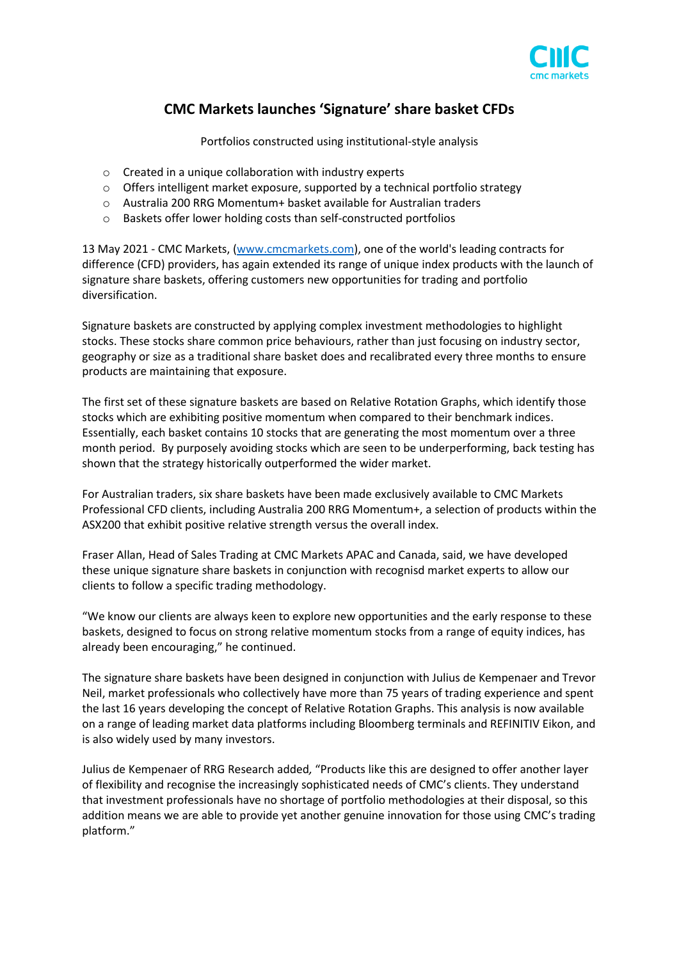

## **CMC Markets launches 'Signature' share basket CFDs**

Portfolios constructed using institutional-style analysis

- o Created in a unique collaboration with industry experts
- $\circ$  Offers intelligent market exposure, supported by a technical portfolio strategy
- o Australia 200 RRG Momentum+ basket available for Australian traders
- o Baskets offer lower holding costs than self-constructed portfolios

13 May 2021 - CMC Markets, [\(www.cmcmarkets.com\)](http://www.cmcmarkets.com/), one of the world's leading contracts for difference (CFD) providers, has again extended its range of unique index products with the launch of signature share baskets, offering customers new opportunities for trading and portfolio diversification.

Signature baskets are constructed by applying complex investment methodologies to highlight stocks. These stocks share common price behaviours, rather than just focusing on industry sector, geography or size as a traditional share basket does and recalibrated every three months to ensure products are maintaining that exposure.

The first set of these signature baskets are based on Relative Rotation Graphs, which identify those stocks which are exhibiting positive momentum when compared to their benchmark indices. Essentially, each basket contains 10 stocks that are generating the most momentum over a three month period. By purposely avoiding stocks which are seen to be underperforming, back testing has shown that the strategy historically outperformed the wider market.

For Australian traders, six share baskets have been made exclusively available to CMC Markets Professional CFD clients, including Australia 200 RRG Momentum+, a selection of products within the ASX200 that exhibit positive relative strength versus the overall index.

Fraser Allan, Head of Sales Trading at CMC Markets APAC and Canada, said, we have developed these unique signature share baskets in conjunction with recognisd market experts to allow our clients to follow a specific trading methodology.

"We know our clients are always keen to explore new opportunities and the early response to these baskets, designed to focus on strong relative momentum stocks from a range of equity indices, has already been encouraging," he continued.

The signature share baskets have been designed in conjunction with Julius de Kempenaer and Trevor Neil, market professionals who collectively have more than 75 years of trading experience and spent the last 16 years developing the concept of Relative Rotation Graphs. This analysis is now available on a range of leading market data platforms including Bloomberg terminals and REFINITIV Eikon, and is also widely used by many investors.

Julius de Kempenaer of RRG Research added*,* "Products like this are designed to offer another layer of flexibility and recognise the increasingly sophisticated needs of CMC's clients. They understand that investment professionals have no shortage of portfolio methodologies at their disposal, so this addition means we are able to provide yet another genuine innovation for those using CMC's trading platform."